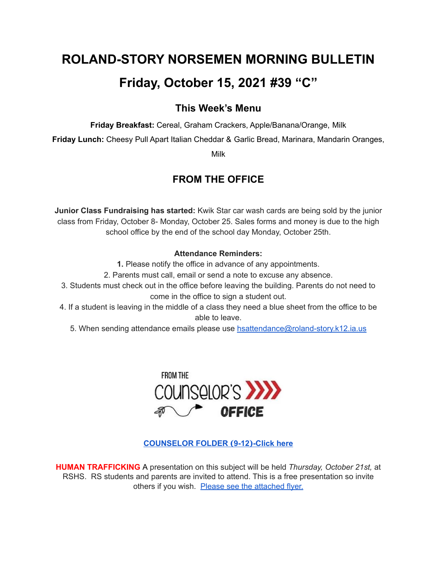# **ROLAND-STORY NORSEMEN MORNING BULLETIN Friday, October 15, 2021 #39 "C"**

### **This Week's Menu**

**Friday Breakfast:** Cereal, Graham Crackers, Apple/Banana/Orange, Milk

**Friday Lunch:** Cheesy Pull Apart Italian Cheddar & Garlic Bread, Marinara, Mandarin Oranges,

Milk

## **FROM THE OFFICE**

**Junior Class Fundraising has started:** Kwik Star car wash cards are being sold by the junior class from Friday, October 8- Monday, October 25. Sales forms and money is due to the high school office by the end of the school day Monday, October 25th.

#### **Attendance Reminders:**

**1.** Please notify the office in advance of any appointments.

- 2. Parents must call, email or send a note to excuse any absence.
- 3. Students must check out in the office before leaving the building. Parents do not need to come in the office to sign a student out.
- 4. If a student is leaving in the middle of a class they need a blue sheet from the office to be able to leave.
	- 5. When sending attendance emails please use [hsattendance@roland-story.k12.ia.us](mailto:hsattendance@roland-story.k12.ia.us)



#### **[COUNSELOR](https://docs.google.com/document/d/1vmwczNPbDzXe9vFaG5LJMQ7NYDv-i4oQJHybqA65TUc/edit?usp=sharing) FOLDER (9-12)-Click here**

**HUMAN TRAFFICKING** A presentation on this subject will be held *Thursday, October 21st,* at RSHS. RS students and parents are invited to attend. This is a free presentation so invite others if you wish. Please see the [attached](https://drive.google.com/file/d/1yauLbYbFOUL1W6YeHUsplVp9VT4j6PbF/view?usp=sharing) flyer.